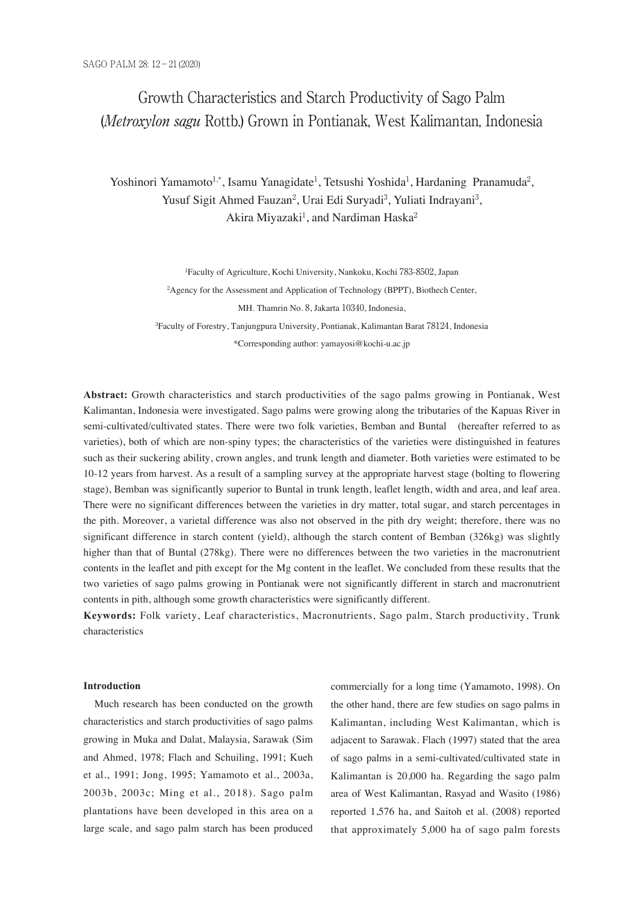# Growth Characteristics and Starch Productivity of Sago Palm (Metroxylon sagu Rottb.) Grown in Pontianak, West Kalimantan, Indonesia

Yoshinori Yamamoto<sup>1,\*</sup>, Isamu Yanagidate<sup>1</sup>, Tetsushi Yoshida<sup>1</sup>, Hardaning Pranamuda<sup>2</sup>, Yusuf Sigit Ahmed Fauzan<sup>2</sup>, Urai Edi Suryadi<sup>3</sup>, Yuliati Indrayani<sup>3</sup>, Akira Miyazaki<sup>1</sup>, and Nardiman Haska<sup>2</sup>

> 1 Faculty of Agriculture, Kochi University, Nankoku, Kochi 783-8502, Japan <sup>2</sup>Agency for the Assessment and Application of Technology (BPPT), Biothech Center, MH. Thamrin No. 8, Jakarta 10340, Indonesia, 3 Faculty of Forestry, Tanjungpura University, Pontianak, Kalimantan Barat 78124, Indonesia \*Corresponding author: yamayosi@kochi-u.ac.jp

**Abstract:** Growth characteristics and starch productivities of the sago palms growing in Pontianak, West Kalimantan, Indonesia were investigated. Sago palms were growing along the tributaries of the Kapuas River in semi-cultivated/cultivated states. There were two folk varieties, Bemban and Buntal (hereafter referred to as varieties), both of which are non-spiny types; the characteristics of the varieties were distinguished in features such as their suckering ability, crown angles, and trunk length and diameter. Both varieties were estimated to be 10-12 years from harvest. As a result of a sampling survey at the appropriate harvest stage (bolting to flowering stage), Bemban was significantly superior to Buntal in trunk length, leaflet length, width and area, and leaf area. There were no significant differences between the varieties in dry matter, total sugar, and starch percentages in the pith. Moreover, a varietal difference was also not observed in the pith dry weight; therefore, there was no significant difference in starch content (yield), although the starch content of Bemban (326kg) was slightly higher than that of Buntal (278kg). There were no differences between the two varieties in the macronutrient contents in the leaflet and pith except for the Mg content in the leaflet. We concluded from these results that the two varieties of sago palms growing in Pontianak were not significantly different in starch and macronutrient contents in pith, although some growth characteristics were significantly different.

**Keywords:** Folk variety, Leaf characteristics, Macronutrients, Sago palm, Starch productivity, Trunk characteristics

# **Introduction**

Much research has been conducted on the growth characteristics and starch productivities of sago palms growing in Muka and Dalat, Malaysia, Sarawak (Sim and Ahmed, 1978; Flach and Schuiling, 1991; Kueh et al., 1991; Jong, 1995; Yamamoto et al., 2003a, 2003b, 2003c; Ming et al., 2018). Sago palm plantations have been developed in this area on a large scale, and sago palm starch has been produced

commercially for a long time (Yamamoto, 1998). On the other hand, there are few studies on sago palms in Kalimantan, including West Kalimantan, which is adjacent to Sarawak. Flach (1997) stated that the area of sago palms in a semi-cultivated/cultivated state in Kalimantan is 20,000 ha. Regarding the sago palm area of West Kalimantan, Rasyad and Wasito (1986) reported 1,576 ha, and Saitoh et al. (2008) reported that approximately 5,000 ha of sago palm forests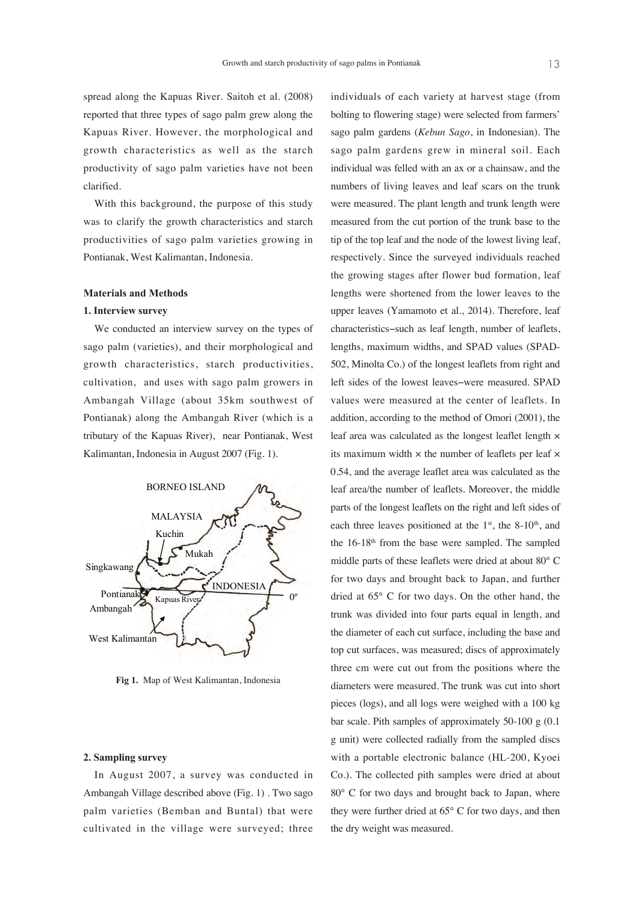spread along the Kapuas River. Saitoh et al. (2008) reported that three types of sago palm grew along the Kapuas River. However, the morphological and growth characteristics as well as the starch productivity of sago palm varieties have not been clarified.

With this background, the purpose of this study was to clarify the growth characteristics and starch productivities of sago palm varieties growing in Pontianak, West Kalimantan, Indonesia.

# **Materials and Methods**

#### **1. Interview survey**

We conducted an interview survey on the types of sago palm (varieties), and their morphological and growth characteristics, starch productivities, cultivation, and uses with sago palm growers in Ambangah Village (about 35km southwest of Pontianak) along the Ambangah River (which is a tributary of the Kapuas River), near Pontianak, West Kalimantan, Indonesia in August 2007 (Fig. 1).



**Fig 1.** Map of West Kalimantan, Indonesia

# **2. Sampling survey**

In August 2007, a survey was conducted in Ambangah Village described above (Fig. 1) . Two sago palm varieties (Bemban and Buntal) that were cultivated in the village were surveyed; three

individuals of each variety at harvest stage (from bolting to flowering stage) were selected from farmers' sago palm gardens (*Kebun Sago*, in Indonesian). The sago palm gardens grew in mineral soil. Each individual was felled with an ax or a chainsaw, and the numbers of living leaves and leaf scars on the trunk were measured. The plant length and trunk length were measured from the cut portion of the trunk base to the tip of the top leaf and the node of the lowest living leaf, respectively. Since the surveyed individuals reached the growing stages after flower bud formation, leaf lengths were shortened from the lower leaves to the upper leaves (Yamamoto et al., 2014). Therefore, leaf characteristics−such as leaf length, number of leaflets, lengths, maximum widths, and SPAD values (SPAD-502, Minolta Co.) of the longest leaflets from right and left sides of the lowest leaves−were measured. SPAD values were measured at the center of leaflets. In addition, according to the method of Omori (2001), the leaf area was calculated as the longest leaflet length × its maximum width  $\times$  the number of leaflets per leaf  $\times$ 0.54, and the average leaflet area was calculated as the leaf area/the number of leaflets. Moreover, the middle parts of the longest leaflets on the right and left sides of each three leaves positioned at the  $1<sup>st</sup>$ , the 8-10<sup>th</sup>, and the 16-18<sup>th</sup> from the base were sampled. The sampled middle parts of these leaflets were dried at about 80° C for two days and brought back to Japan, and further dried at 65° C for two days. On the other hand, the trunk was divided into four parts equal in length, and the diameter of each cut surface, including the base and top cut surfaces, was measured; discs of approximately three cm were cut out from the positions where the diameters were measured. The trunk was cut into short pieces (logs), and all logs were weighed with a 100 kg bar scale. Pith samples of approximately 50-100 g (0.1 g unit) were collected radially from the sampled discs with a portable electronic balance (HL-200, Kyoei Co.). The collected pith samples were dried at about 80° C for two days and brought back to Japan, where they were further dried at 65° C for two days, and then the dry weight was measured.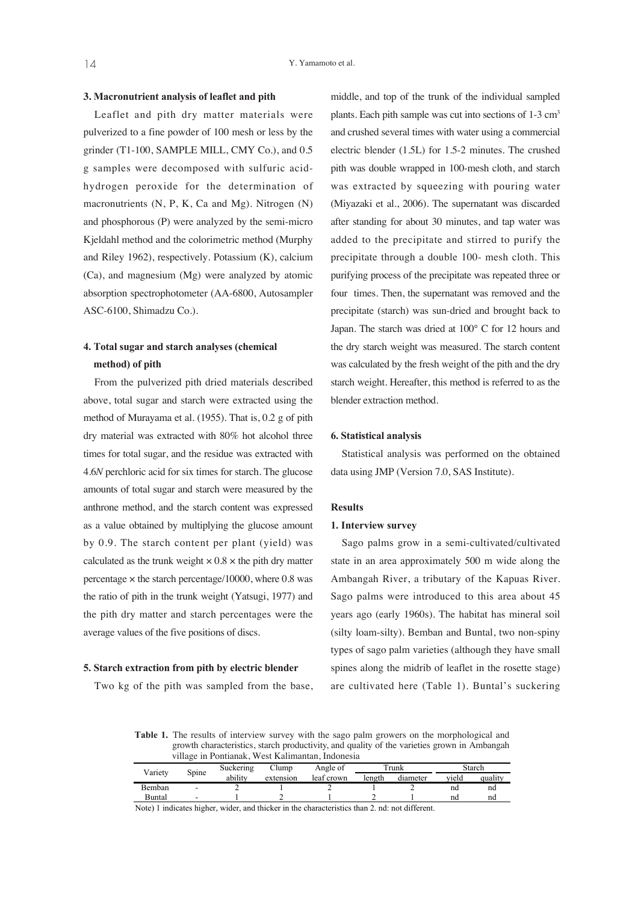# **3. Macronutrient analysis of leaflet and pith**

Leaflet and pith dry matter materials were pulverized to a fine powder of 100 mesh or less by the grinder (T1-100, SAMPLE MILL, CMY Co.), and 0.5 g samples were decomposed with sulfuric acidhydrogen peroxide for the determination of macronutrients (N, P, K, Ca and Mg). Nitrogen (N) and phosphorous (P) were analyzed by the semi-micro Kjeldahl method and the colorimetric method (Murphy and Riley 1962), respectively. Potassium (K), calcium (Ca), and magnesium (Mg) were analyzed by atomic absorption spectrophotometer (AA-6800, Autosampler ASC-6100, Shimadzu Co.).

# **4. Total sugar and starch analyses (chemical method) of pith**

From the pulverized pith dried materials described above, total sugar and starch were extracted using the method of Murayama et al. (1955). That is, 0.2 g of pith dry material was extracted with 80% hot alcohol three times for total sugar, and the residue was extracted with 4.6*N* perchloric acid for six times for starch. The glucose amounts of total sugar and starch were measured by the anthrone method, and the starch content was expressed as a value obtained by multiplying the glucose amount by 0.9. The starch content per plant (yield) was calculated as the trunk weight  $\times$  0.8  $\times$  the pith dry matter percentage  $\times$  the starch percentage/10000, where 0.8 was the ratio of pith in the trunk weight (Yatsugi, 1977) and the pith dry matter and starch percentages were the average values of the five positions of discs.

#### **5. Starch extraction from pith by electric blender**

Two kg of the pith was sampled from the base,

middle, and top of the trunk of the individual sampled plants. Each pith sample was cut into sections of 1-3 cm3 and crushed several times with water using a commercial electric blender (1.5L) for 1.5-2 minutes. The crushed pith was double wrapped in 100-mesh cloth, and starch was extracted by squeezing with pouring water (Miyazaki et al., 2006). The supernatant was discarded after standing for about 30 minutes, and tap water was added to the precipitate and stirred to purify the precipitate through a double 100- mesh cloth. This purifying process of the precipitate was repeated three or four times. Then, the supernatant was removed and the precipitate (starch) was sun-dried and brought back to Japan. The starch was dried at 100° C for 12 hours and the dry starch weight was measured. The starch content was calculated by the fresh weight of the pith and the dry starch weight. Hereafter, this method is referred to as the blender extraction method.

#### **6. Statistical analysis**

Statistical analysis was performed on the obtained data using JMP (Version 7.0, SAS Institute).

#### **Results**

#### **1. Interview survey**

Sago palms grow in a semi-cultivated/cultivated state in an area approximately 500 m wide along the Ambangah River, a tributary of the Kapuas River. Sago palms were introduced to this area about 45 years ago (early 1960s). The habitat has mineral soil (silty loam-silty). Bemban and Buntal, two non-spiny types of sago palm varieties (although they have small spines along the midrib of leaflet in the rosette stage) are cultivated here (Table 1). Buntal's suckering

Table 1. The results of interview survey with the sago palm growers on the morphological and growth characteristics, starch productivity, and quality of the varieties grown in Ambangah village in Pontianak, West Kalimantan, Indonesia

|         |       | Suckering | Clump<br>Angle of |            | Trunk  |          | Starch |         |
|---------|-------|-----------|-------------------|------------|--------|----------|--------|---------|
| Variety | Spine | ability   | extension         | leaf crown | length | diameter | vield  | quality |
| Bemban  |       |           |                   |            |        |          | nd     | nd      |
| Buntal  |       |           |                   |            |        |          | nd     | nd      |

Note) 1 indicates higher, wider, and thicker in the characteristics than 2. nd: not different.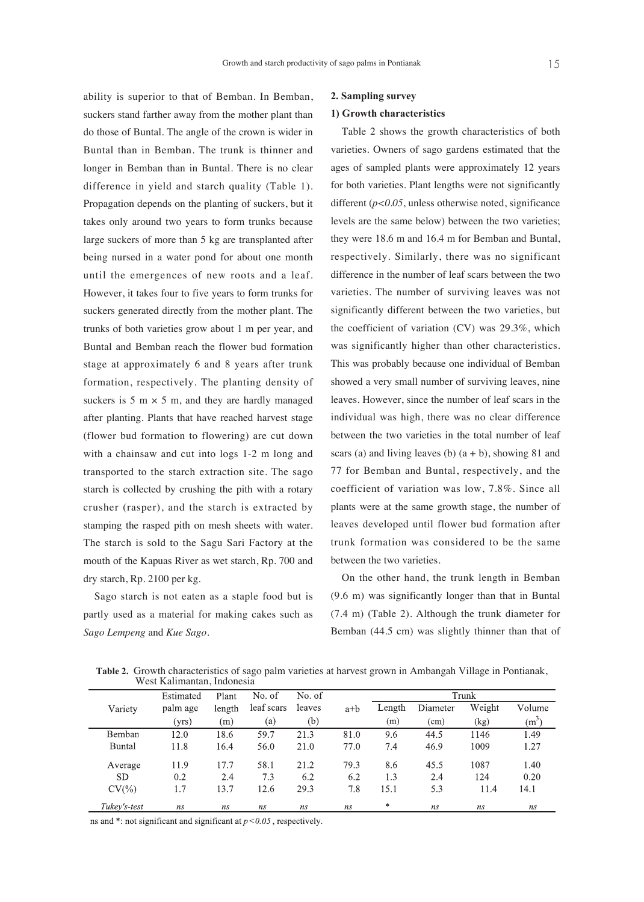ability is superior to that of Bemban. In Bemban, suckers stand farther away from the mother plant than do those of Buntal. The angle of the crown is wider in Buntal than in Bemban. The trunk is thinner and longer in Bemban than in Buntal. There is no clear difference in yield and starch quality (Table 1). Propagation depends on the planting of suckers, but it takes only around two years to form trunks because large suckers of more than 5 kg are transplanted after being nursed in a water pond for about one month until the emergences of new roots and a leaf. However, it takes four to five years to form trunks for suckers generated directly from the mother plant. The trunks of both varieties grow about 1 m per year, and Buntal and Bemban reach the flower bud formation stage at approximately 6 and 8 years after trunk formation, respectively. The planting density of suckers is  $5 \text{ m} \times 5 \text{ m}$ , and they are hardly managed after planting. Plants that have reached harvest stage (flower bud formation to flowering) are cut down with a chainsaw and cut into logs 1-2 m long and transported to the starch extraction site. The sago starch is collected by crushing the pith with a rotary crusher (rasper), and the starch is extracted by stamping the rasped pith on mesh sheets with water. The starch is sold to the Sagu Sari Factory at the mouth of the Kapuas River as wet starch, Rp. 700 and dry starch, Rp. 2100 per kg.

Sago starch is not eaten as a staple food but is partly used as a material for making cakes such as *Sago Lempeng* and *Kue Sago*.

### **2. Sampling survey**

#### **1) Growth characteristics**

Table 2 shows the growth characteristics of both varieties. Owners of sago gardens estimated that the ages of sampled plants were approximately 12 years for both varieties. Plant lengths were not significantly different  $(p<0.05$ , unless otherwise noted, significance levels are the same below) between the two varieties; they were 18.6 m and 16.4 m for Bemban and Buntal, respectively. Similarly, there was no significant difference in the number of leaf scars between the two varieties. The number of surviving leaves was not significantly different between the two varieties, but the coefficient of variation (CV) was 29.3%, which was significantly higher than other characteristics. This was probably because one individual of Bemban showed a very small number of surviving leaves, nine leaves. However, since the number of leaf scars in the individual was high, there was no clear difference between the two varieties in the total number of leaf scars (a) and living leaves (b)  $(a + b)$ , showing 81 and 77 for Bemban and Buntal, respectively, and the coefficient of variation was low, 7.8%. Since all plants were at the same growth stage, the number of leaves developed until flower bud formation after trunk formation was considered to be the same between the two varieties.

On the other hand, the trunk length in Bemban (9.6 m) was significantly longer than that in Buntal (7.4 m) (Table 2). Although the trunk diameter for Bemban (44.5 cm) was slightly thinner than that of

**Table 2.** Growth characteristics of sago palm varieties at harvest grown in Ambangah Village in Pontianak, West Kalimantan, Indonesia

|              | Estimated | Plant  | No. of     | No. of         |       |        |          | Trunk  |         |
|--------------|-----------|--------|------------|----------------|-------|--------|----------|--------|---------|
| Variety      | palm age  | length | leaf scars | leaves         | $a+b$ | Length | Diameter | Weight | Volume  |
|              | (yrs)     | (m)    | (a)        | (b)            |       | (m)    | (cm)     | (kg)   | $(m^3)$ |
| Bemban       | 12.0      | 18.6   | 59.7       | 21.3           | 81.0  | 9.6    | 44.5     | 1146   | 1.49    |
| Buntal       | 11.8      | 16.4   | 56.0       | 21.0           | 77.0  | 7.4    | 46.9     | 1009   | 1.27    |
| Average      | 11.9      | 17.7   | 58.1       | 21.2           | 79.3  | 8.6    | 45.5     | 1087   | 1.40    |
| <b>SD</b>    | 0.2       | 2.4    | 7.3        | 6.2            | 6.2   | 1.3    | 2.4      | 124    | 0.20    |
| $CV(\% )$    | 1.7       | 13.7   | 12.6       | 29.3           | 7.8   | 15.1   | 5.3      | 11.4   | 14.1    |
| Tukey's-test | ns        | ns     | ns         | n <sub>S</sub> | ns    | $\ast$ | ns       | ns     | ns      |

ns and \*: not significant and significant at  $p < 0.05$ , respectively.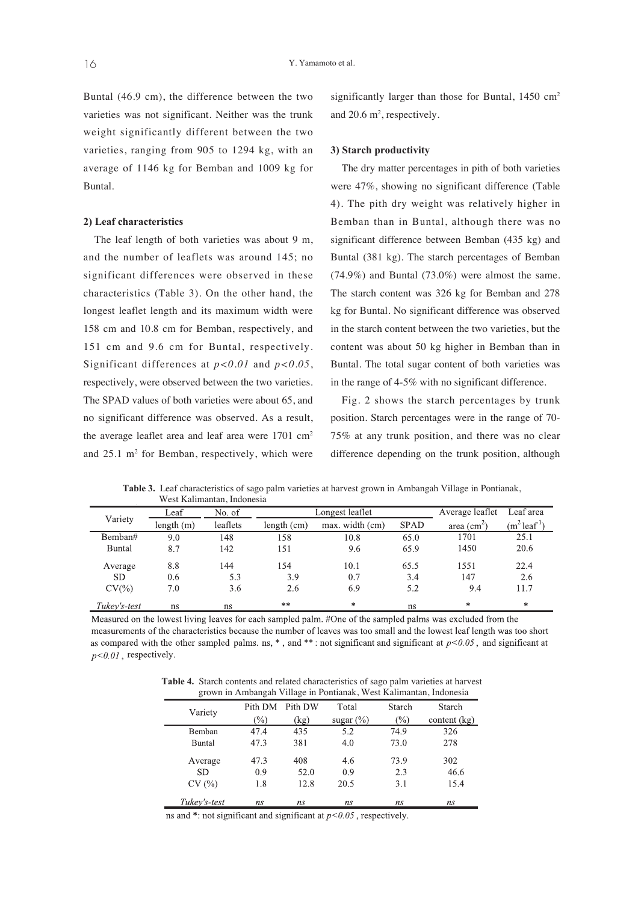Buntal (46.9 cm), the difference between the two varieties was not significant. Neither was the trunk weight significantly different between the two varieties, ranging from 905 to 1294 kg, with an average of 1146 kg for Bemban and 1009 kg for Buntal.

#### **2) Leaf characteristics**

The leaf length of both varieties was about 9 m, and the number of leaflets was around 145; no significant differences were observed in these characteristics (Table 3). On the other hand, the longest leaflet length and its maximum width were 158 cm and 10.8 cm for Bemban, respectively, and 151 cm and 9.6 cm for Buntal, respectively. Significant differences at *p<0.01* and *p<0.05*, respectively, were observed between the two varieties. The SPAD values of both varieties were about 65, and no significant difference was observed. As a result, the average leaflet area and leaf area were 1701 cm<sup>2</sup> and 25.1 m<sup>2</sup> for Bemban, respectively, which were

significantly larger than those for Buntal, 1450 cm<sup>2</sup> and  $20.6 \text{ m}^2$ , respectively.

#### **3) Starch productivity**

The dry matter percentages in pith of both varieties were 47%, showing no significant difference (Table 4). The pith dry weight was relatively higher in Bemban than in Buntal, although there was no significant difference between Bemban (435 kg) and Buntal (381 kg). The starch percentages of Bemban (74.9%) and Buntal (73.0%) were almost the same. The starch content was 326 kg for Bemban and 278 kg for Buntal. No significant difference was observed in the starch content between the two varieties, but the content was about 50 kg higher in Bemban than in Buntal. The total sugar content of both varieties was in the range of 4-5% with no significant difference.

Fig. 2 shows the starch percentages by trunk position. Starch percentages were in the range of 70- 75% at any trunk position, and there was no clear difference depending on the trunk position, although

|              | Leaf<br>No. of |          |             | Longest leaflet | Average leaflet | Leaf area    |                       |  |
|--------------|----------------|----------|-------------|-----------------|-----------------|--------------|-----------------------|--|
| Variety      | length(m)      | leaflets | length (cm) | max. width (cm) | <b>SPAD</b>     | area $(cm2)$ | $(m^2 \text{leaf}^1)$ |  |
| Bemban#      | 9.0            | 148      | 158         | 10.8            | 65.0            | 1701         | 25.1                  |  |
| Buntal       | 8.7            | 142      | 151         | 9.6             | 65.9            | 1450         | 20.6                  |  |
| Average      | 8.8            | 144      | 154         | 10.1            | 65.5            | 1551         | 22.4                  |  |
| <b>SD</b>    | 0.6            | 5.3      | 3.9         | 0.7             | 3.4             | 147          | 2.6                   |  |
| $CV(\% )$    | 7.0            | 3.6      | 2.6         | 6.9             | 5.2             | 9.4          | 11.7                  |  |
| Tukey's-test | ns             | ns       | **          | *               | ns              | $\ast$       | $\ast$                |  |

**Table 3.** Leaf characteristics of sago palm varieties at harvest grown in Ambangah Village in Pontianak, West Kalimantan, Indonesia

Measured on the lowest living leaves for each sampled palm. #One of the sampled palms was excluded from the measurements of the characteristics because the number of leaves was too small and the lowest leaf length was too short as compared with the other sampled palms. ns, \*, and \*\*: not significant and significant at  $p<0.05$ , and significant at  $p<0.01$ , respectively.

**Table 4.** Starch contents and related characteristics of sago palm varieties at harvest grown in Ambangah Village in Pontianak, West Kalimantan, Indonesia

| Variety      | Pith DM | Pith DW | Total                              | Starch | Starch       |
|--------------|---------|---------|------------------------------------|--------|--------------|
|              | $(\%)$  | (kg)    | $\frac{\text{sugar}}{\text{}}$ (%) | $(\%)$ | content (kg) |
| Bemban       | 47.4    | 435     | 5.2                                | 74.9   | 326          |
| Buntal       | 47.3    | 381     | 4.0                                | 73.0   | 278          |
| Average      | 47.3    | 408     | 4.6                                | 73.9   | 302          |
| <b>SD</b>    | 0.9     | 52.0    | 0.9                                | 2.3    | 46.6         |
| CV(%)        | 1.8     | 12.8    | 20.5                               | 3.1    | 15.4         |
| Tukev's-test | ns      | ns      | ns                                 | ns     | ns           |

ns and \*: not significant and significant at  $p < 0.05$ , respectively.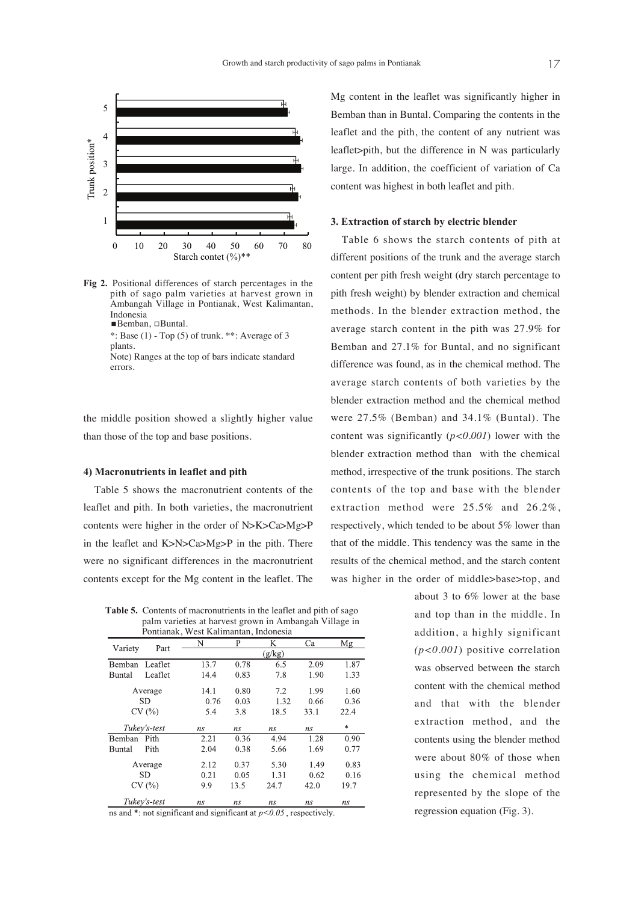

**Fig 2.** Positional differences of starch percentages in the pith of sago palm varieties at harvest grown in Ambangah Village in Pontianak, West Kalimantan, Indonesia ■Bemban, □Buntal.



errors.

the middle position showed a slightly higher value than those of the top and base positions.

#### **4) Macronutrients in leaflet and pith**

Table 5 shows the macronutrient contents of the leaflet and pith. In both varieties, the macronutrient contents were higher in the order of N>K>Ca>Mg>P in the leaflet and K>N>Ca>Mg>P in the pith. There were no significant differences in the macronutrient contents except for the Mg content in the leaflet. The

**Table 5.** Contents of macronutrients in the leaflet and pith of sago palm varieties at harvest grown in Ambangah Village in

| Pontianak, West Kalimantan, Indonesia |              |      |      |        |      |      |  |  |
|---------------------------------------|--------------|------|------|--------|------|------|--|--|
|                                       |              | N    | P    | K      | Сa   | Mg   |  |  |
| Variety                               | Part         |      |      | (g/kg) |      |      |  |  |
| Bemban                                | Leaflet      | 13.7 | 0.78 | 6.5    | 2.09 | 1.87 |  |  |
| Buntal                                | Leaflet      | 14.4 | 0.83 | 7.8    | 1.90 | 1.33 |  |  |
|                                       | Average      | 14.1 | 0.80 | 7.2    | 1.99 | 1.60 |  |  |
|                                       | <b>SD</b>    | 0.76 | 0.03 | 1.32   | 0.66 | 0.36 |  |  |
| CV(%)                                 |              | 5.4  | 3.8  | 18.5   | 33.1 | 22.4 |  |  |
|                                       | Tukey's-test | ns   | ns   | ns     | ns   | *    |  |  |
| Bemban                                | Pith         | 2.21 | 0.36 | 4.94   | 1.28 | 0.90 |  |  |
| Buntal                                | Pith         | 2.04 | 0.38 | 5.66   | 1.69 | 0.77 |  |  |
|                                       | Average      | 2.12 | 0.37 | 5.30   | 1.49 | 0.83 |  |  |
|                                       | <b>SD</b>    | 0.21 | 0.05 | 1.31   | 0.62 | 0.16 |  |  |
|                                       | CV(%)        | 9.9  | 13.5 | 24.7   | 42.0 | 19.7 |  |  |
|                                       | Tukey's-test | ns   | ns   | ns     | ns   | ns   |  |  |

ns and \*: not significant and significant at  $p<0.05$ , respectively.

Mg content in the leaflet was significantly higher in Bemban than in Buntal. Comparing the contents in the leaflet and the pith, the content of any nutrient was leaflet>pith, but the difference in N was particularly large. In addition, the coefficient of variation of Ca content was highest in both leaflet and pith.

#### **3. Extraction of starch by electric blender**

Table 6 shows the starch contents of pith at different positions of the trunk and the average starch content per pith fresh weight (dry starch percentage to pith fresh weight) by blender extraction and chemical methods. In the blender extraction method, the average starch content in the pith was 27.9% for Bemban and 27.1% for Buntal, and no significant difference was found, as in the chemical method. The average starch contents of both varieties by the blender extraction method and the chemical method were 27.5% (Bemban) and 34.1% (Buntal). The content was significantly (*p<0.001*) lower with the blender extraction method than with the chemical method, irrespective of the trunk positions. The starch contents of the top and base with the blender extraction method were 25.5% and 26.2%, respectively, which tended to be about 5% lower than that of the middle. This tendency was the same in the results of the chemical method, and the starch content was higher in the order of middle>base>top, and

> about 3 to 6% lower at the base and top than in the middle. In addition, a highly significant *(p<0.001*) positive correlation was observed between the starch content with the chemical method and that with the blender extraction method, and the contents using the blender method were about 80% of those when using the chemical method represented by the slope of the regression equation (Fig. 3).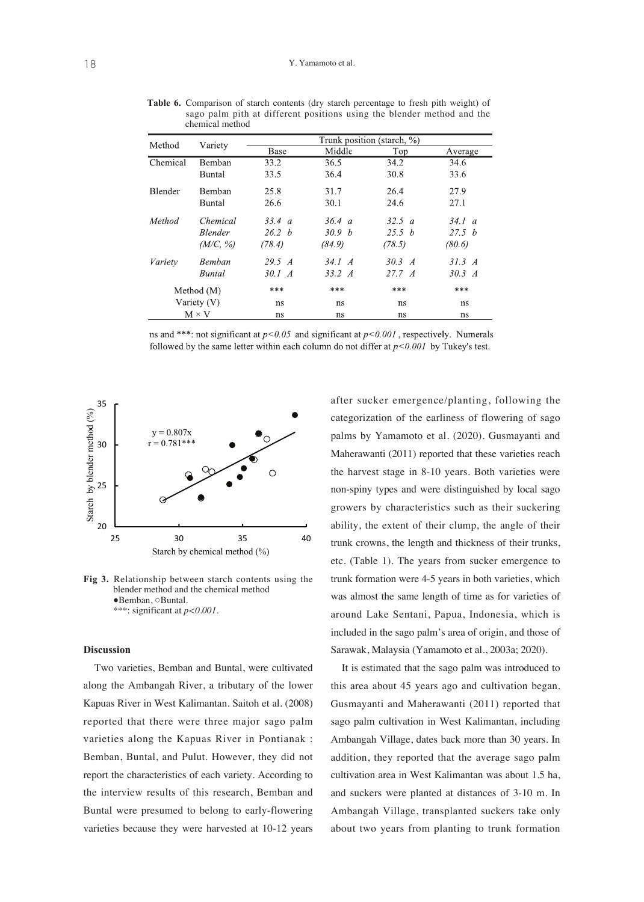| Method       | Variety                | Trunk position (starch, %) |                   |        |                   |  |  |  |
|--------------|------------------------|----------------------------|-------------------|--------|-------------------|--|--|--|
|              |                        | Base                       | Middle            | Top    | Average           |  |  |  |
| Chemical     | Bemban                 | 33.2                       | 36.5              | 34.2   | 34.6              |  |  |  |
|              | Buntal                 | 33.5                       | 36.4              | 30.8   | 33.6              |  |  |  |
| Blender      | Bemban                 | 25.8                       | 31.7              | 26.4   | 27.9              |  |  |  |
|              | Buntal                 | 26.6                       | 30.1              | 24.6   | 27.1              |  |  |  |
| Method       | Chemical               | $33.4\ a$                  | $36.4 \, a$       | 32.5 a | $34.1 \, a$       |  |  |  |
|              | <i>Blender</i>         | 26.2 b                     | 30.9 <sub>b</sub> | 25.5 b | 27.5 <sub>b</sub> |  |  |  |
|              | $(M/C, \mathcal{V}_0)$ | (78.4)                     | (84.9)            | (78.5) | (80.6)            |  |  |  |
| Variety      | Bemban                 | 29.5A                      | 34.1 A            | 30.3 A | 31.3A             |  |  |  |
|              | <i>Buntal</i>          | 30.1A                      | 33.2 A            | 27.7 A | 30.3A             |  |  |  |
| Method $(M)$ |                        | $***$                      | ***               | ***    | $***$             |  |  |  |
|              | Variety (V)            | ns                         | ns                | ns     | ns                |  |  |  |
|              | $M \times V$           | ns                         | ns                | ns     | ns                |  |  |  |

**Table 6.** Comparison of starch contents (dry starch percentage to fresh pith weight) of sago palm pith at different positions using the blender method and the chemical method

ns and \*\*\*: not significant at  $p<0.05$  and significant at  $p<0.001$ , respectively. Numerals followed by the same letter within each column do not differ at  $p<0.001$  by Tukey's test.



**Fig 3.** Relationship between starch contents using the blender method and the chemical method ●Bemban, ○Buntal. \*\*\*: significant at *p<0.001*.

# **Discussion**

Two varieties, Bemban and Buntal, were cultivated along the Ambangah River, a tributary of the lower Kapuas River in West Kalimantan. Saitoh et al. (2008) reported that there were three major sago palm varieties along the Kapuas River in Pontianak : Bemban, Buntal, and Pulut. However, they did not report the characteristics of each variety. According to the interview results of this research, Bemban and Buntal were presumed to belong to early-flowering varieties because they were harvested at 10-12 years

after sucker emergence/planting, following the categorization of the earliness of flowering of sago palms by Yamamoto et al. (2020). Gusmayanti and Maherawanti (2011) reported that these varieties reach the harvest stage in 8-10 years. Both varieties were non-spiny types and were distinguished by local sago growers by characteristics such as their suckering ability, the extent of their clump, the angle of their trunk crowns, the length and thickness of their trunks, etc. (Table 1). The years from sucker emergence to trunk formation were 4-5 years in both varieties, which was almost the same length of time as for varieties of around Lake Sentani, Papua, Indonesia, which is included in the sago palm's area of origin, and those of Sarawak, Malaysia (Yamamoto et al., 2003a; 2020).

It is estimated that the sago palm was introduced to this area about 45 years ago and cultivation began. Gusmayanti and Maherawanti (2011) reported that sago palm cultivation in West Kalimantan, including Ambangah Village, dates back more than 30 years. In addition, they reported that the average sago palm cultivation area in West Kalimantan was about 1.5 ha, and suckers were planted at distances of 3-10 m. In Ambangah Village, transplanted suckers take only about two years from planting to trunk formation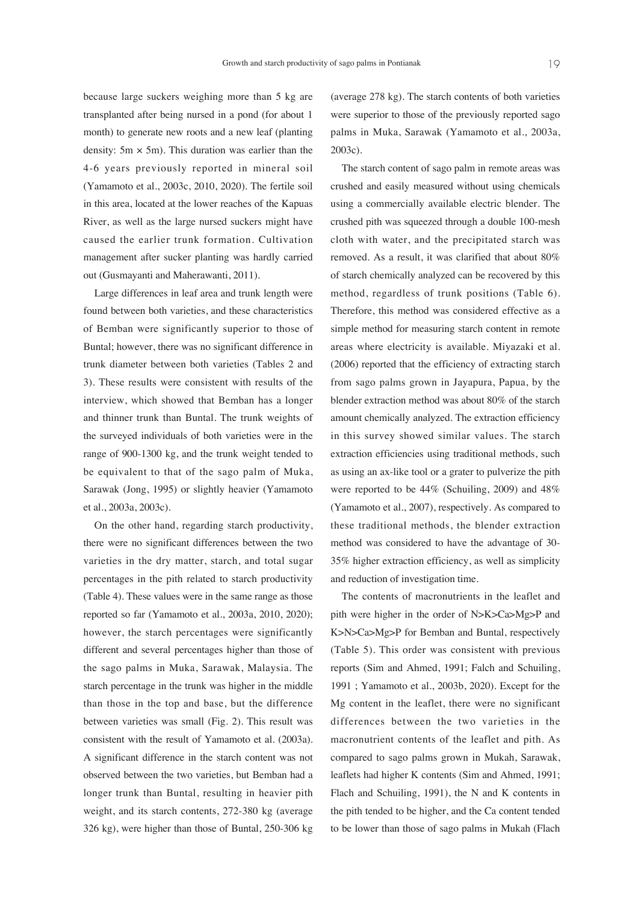because large suckers weighing more than 5 kg are transplanted after being nursed in a pond (for about 1 month) to generate new roots and a new leaf (planting density:  $5m \times 5m$ ). This duration was earlier than the 4-6 years previously reported in mineral soil (Yamamoto et al., 2003c, 2010, 2020). The fertile soil in this area, located at the lower reaches of the Kapuas River, as well as the large nursed suckers might have caused the earlier trunk formation. Cultivation management after sucker planting was hardly carried out (Gusmayanti and Maherawanti, 2011).

Large differences in leaf area and trunk length were found between both varieties, and these characteristics of Bemban were significantly superior to those of Buntal; however, there was no significant difference in trunk diameter between both varieties (Tables 2 and 3). These results were consistent with results of the interview, which showed that Bemban has a longer and thinner trunk than Buntal. The trunk weights of the surveyed individuals of both varieties were in the range of 900-1300 kg, and the trunk weight tended to be equivalent to that of the sago palm of Muka, Sarawak (Jong, 1995) or slightly heavier (Yamamoto et al., 2003a, 2003c).

On the other hand, regarding starch productivity, there were no significant differences between the two varieties in the dry matter, starch, and total sugar percentages in the pith related to starch productivity (Table 4). These values were in the same range as those reported so far (Yamamoto et al., 2003a, 2010, 2020); however, the starch percentages were significantly different and several percentages higher than those of the sago palms in Muka, Sarawak, Malaysia. The starch percentage in the trunk was higher in the middle than those in the top and base, but the difference between varieties was small (Fig. 2). This result was consistent with the result of Yamamoto et al. (2003a). A significant difference in the starch content was not observed between the two varieties, but Bemban had a longer trunk than Buntal, resulting in heavier pith weight, and its starch contents, 272-380 kg (average 326 kg), were higher than those of Buntal, 250-306 kg

(average 278 kg). The starch contents of both varieties were superior to those of the previously reported sago palms in Muka, Sarawak (Yamamoto et al., 2003a, 2003c).

The starch content of sago palm in remote areas was crushed and easily measured without using chemicals using a commercially available electric blender. The crushed pith was squeezed through a double 100-mesh cloth with water, and the precipitated starch was removed. As a result, it was clarified that about 80% of starch chemically analyzed can be recovered by this method, regardless of trunk positions (Table 6). Therefore, this method was considered effective as a simple method for measuring starch content in remote areas where electricity is available. Miyazaki et al. (2006) reported that the efficiency of extracting starch from sago palms grown in Jayapura, Papua, by the blender extraction method was about 80% of the starch amount chemically analyzed. The extraction efficiency in this survey showed similar values. The starch extraction efficiencies using traditional methods, such as using an ax-like tool or a grater to pulverize the pith were reported to be 44% (Schuiling, 2009) and 48% (Yamamoto et al., 2007), respectively. As compared to these traditional methods, the blender extraction method was considered to have the advantage of 30- 35% higher extraction efficiency, as well as simplicity and reduction of investigation time.

The contents of macronutrients in the leaflet and pith were higher in the order of N>K>Ca>Mg>P and K>N>Ca>Mg>P for Bemban and Buntal, respectively (Table 5). This order was consistent with previous reports (Sim and Ahmed, 1991; Falch and Schuiling, 1991 ; Yamamoto et al., 2003b, 2020). Except for the Mg content in the leaflet, there were no significant differences between the two varieties in the macronutrient contents of the leaflet and pith. As compared to sago palms grown in Mukah, Sarawak, leaflets had higher K contents (Sim and Ahmed, 1991; Flach and Schuiling, 1991), the N and K contents in the pith tended to be higher, and the Ca content tended to be lower than those of sago palms in Mukah (Flach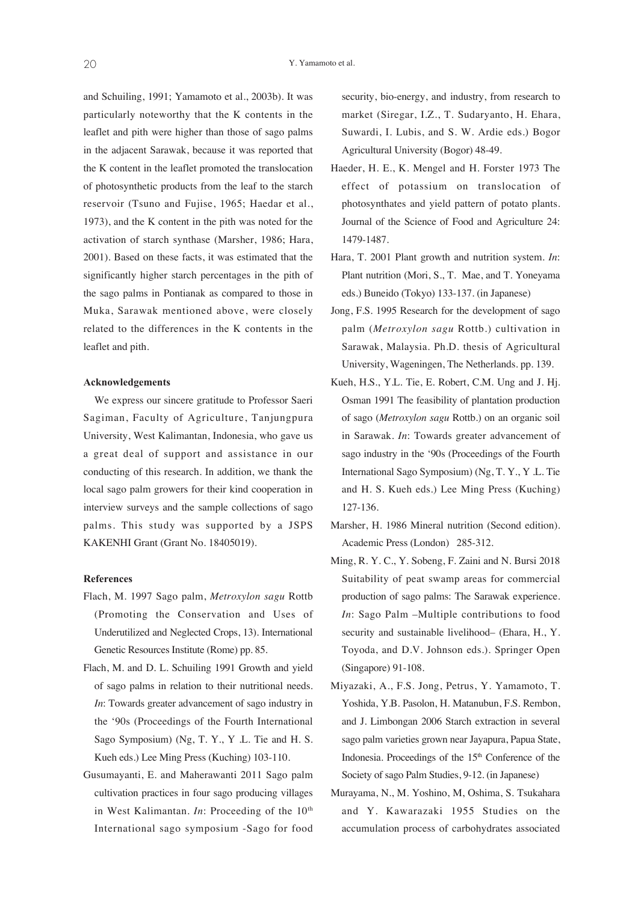and Schuiling, 1991; Yamamoto et al., 2003b). It was particularly noteworthy that the K contents in the leaflet and pith were higher than those of sago palms in the adjacent Sarawak, because it was reported that the K content in the leaflet promoted the translocation of photosynthetic products from the leaf to the starch reservoir (Tsuno and Fujise, 1965; Haedar et al., 1973), and the K content in the pith was noted for the activation of starch synthase (Marsher, 1986; Hara, 2001). Based on these facts, it was estimated that the significantly higher starch percentages in the pith of the sago palms in Pontianak as compared to those in Muka, Sarawak mentioned above, were closely related to the differences in the K contents in the leaflet and pith.

#### **Acknowledgements**

We express our sincere gratitude to Professor Saeri Sagiman, Faculty of Agriculture, Tanjungpura University, West Kalimantan, Indonesia, who gave us a great deal of support and assistance in our conducting of this research. In addition, we thank the local sago palm growers for their kind cooperation in interview surveys and the sample collections of sago palms. This study was supported by a JSPS KAKENHI Grant (Grant No. 18405019).

#### **References**

- Flach, M. 1997 Sago palm, *Metroxylon sagu* Rottb (Promoting the Conservation and Uses of Underutilized and Neglected Crops, 13). International Genetic Resources Institute (Rome) pp. 85.
- Flach, M. and D. L. Schuiling 1991 Growth and yield of sago palms in relation to their nutritional needs. *In*: Towards greater advancement of sago industry in the '90s (Proceedings of the Fourth International Sago Symposium) (Ng, T. Y., Y .L. Tie and H. S. Kueh eds.) Lee Ming Press (Kuching) 103-110.
- Gusumayanti, E. and Maherawanti 2011 Sago palm cultivation practices in four sago producing villages in West Kalimantan. *In*: Proceeding of the 10<sup>th</sup> International sago symposium -Sago for food

security, bio-energy, and industry, from research to market (Siregar, I.Z., T. Sudaryanto, H. Ehara, Suwardi, I. Lubis, and S. W. Ardie eds.) Bogor Agricultural University (Bogor) 48-49.

- Haeder, H. E., K. Mengel and H. Forster 1973 The effect of potassium on translocation of photosynthates and yield pattern of potato plants. Journal of the Science of Food and Agriculture 24: 1479-1487.
- Hara, T. 2001 Plant growth and nutrition system. *In*: Plant nutrition (Mori, S., T. Mae, and T. Yoneyama eds.) Buneido (Tokyo) 133-137. (in Japanese)
- Jong, F.S. 1995 Research for the development of sago palm (*Metroxylon sagu* Rottb.) cultivation in Sarawak, Malaysia. Ph.D. thesis of Agricultural University, Wageningen, The Netherlands. pp. 139.
- Kueh, H.S., Y.L. Tie, E. Robert, C.M. Ung and J. Hj. Osman 1991 The feasibility of plantation production of sago (*Metroxylon sagu* Rottb.) on an organic soil in Sarawak. *In*: Towards greater advancement of sago industry in the '90s (Proceedings of the Fourth International Sago Symposium) (Ng, T. Y., Y .L. Tie and H. S. Kueh eds.) Lee Ming Press (Kuching) 127-136.
- Marsher, H. 1986 Mineral nutrition (Second edition). Academic Press (London) 285-312.
- Ming, R. Y. C., Y. Sobeng, F. Zaini and N. Bursi 2018 Suitability of peat swamp areas for commercial production of sago palms: The Sarawak experience. *In*: Sago Palm –Multiple contributions to food security and sustainable livelihood– (Ehara, H., Y. Toyoda, and D.V. Johnson eds.). Springer Open (Singapore) 91-108.
- Miyazaki, A., F.S. Jong, Petrus, Y. Yamamoto, T. Yoshida, Y.B. Pasolon, H. Matanubun, F.S. Rembon, and J. Limbongan 2006 Starch extraction in several sago palm varieties grown near Jayapura, Papua State, Indonesia. Proceedings of the 15<sup>th</sup> Conference of the Society of sago Palm Studies, 9-12. (in Japanese)
- Murayama, N., M. Yoshino, M, Oshima, S. Tsukahara and Y. Kawarazaki 1955 Studies on the accumulation process of carbohydrates associated